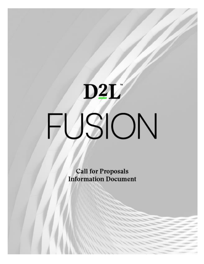# D2L

**Call for Proposals Information Document**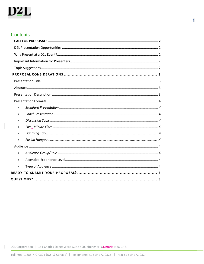

## **Contents**

 $\mathsf{I}$ 

| ٠         |
|-----------|
| $\bullet$ |
| $\bullet$ |
| $\bullet$ |
| $\bullet$ |
| $\bullet$ |
|           |
| $\bullet$ |
| $\bullet$ |
| $\bullet$ |
|           |
|           |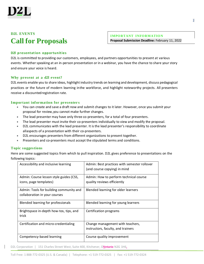

# **D2L EVENTS Call for Proposals**

**IMPORTANT INFORMATION Proposal Submission Deadline:** February 11, 2022

### <span id="page-2-0"></span>**D2l presentation opportunities**

D2L is committed to providing our customers, employees, and partners opportunities to present at various events. Whether speaking at an in-person presentation or in a webinar, you have the chance to share your story and ensure your voice is heard.

### <span id="page-2-1"></span>**Why present at a d2l event?**

D2L events enable you to share ideas, highlight industry trends on learning and development, discuss pedagogical practices or the future of modern learning inthe workforce, and highlight noteworthy projects. All presenters receive a discountedregistration rate.

### <span id="page-2-2"></span>**Important information for presenter s**

- You can create and save a draft now and submit changes to it later. However, once you submit your proposal for review,you cannot make further changes.
- The lead presenter may have only three co-presenters, for a total of four presenters.
- The lead presenter must invite their co-presenters individually to view and modify the proposal.
- D2L communicates with the lead presenter. It is the lead presenter's responsibility to coordinate allaspects of a presentation with their co-presenters.
- D2L encourages presenters from different organizations to present together.
- Presenters and co-presenters must accept the stipulated terms and conditions.

### <span id="page-2-3"></span>**Topic suggestions**

Canada

Here are some suggested topics from which to pull inspiration. D2L gives preference to presentations on the following topics:

| Accessibility and inclusive learning                                     | Admin: Best practices with semester rollover<br>(and course copying) in mind |
|--------------------------------------------------------------------------|------------------------------------------------------------------------------|
| Admin: Course lesson style guides (CSS,<br>icons, page templates)        | Admin: How to perform technical course<br>quality reviews efficiently        |
| Admin: Tools for building community and<br>collaboration in your courses | Blended learning for older learners                                          |
| Blended learning for professionals                                       | Blended learning for young learners                                          |
| Brightspace in-depth how-tos, tips, and<br>trick                         | Certification programs                                                       |
| Certification and micro-credentialing                                    | Change management with teachers,<br>instructors, faculty, and trainers       |
| Competency-based learning                                                | Course quality improvement                                                   |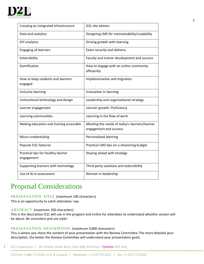

| Creating an integrated infrastructure            | D2L site admins                                                         |
|--------------------------------------------------|-------------------------------------------------------------------------|
| Data and analytics                               | Designing LMS for maintainability/scalability                           |
| DIY analytics                                    | Driving growth with learning                                            |
| <b>Engaging all learners</b>                     | Exam security and delivery                                              |
| Extensibility                                    | Faculty and trainer development and success                             |
| Gamification                                     | How to engage with an online community<br>efficiently                   |
| How to keep students and learners<br>engaged     | Implementation and migration                                            |
| Inclusive learning                               | Innovation in learning                                                  |
| Instructional technology and design              | Leadership and organizational strategy                                  |
| Learner engagement                               | Learner growth: Proficiency                                             |
| Learning communities                             | Learning in the flow of work                                            |
| Making education and training accessible         | Meeting the needs of today's learners/learner<br>engagement and success |
| Micro-credentialing                              | Personalized learning                                                   |
| Popular D2L features                             | Practical LMS tips on a shoestring budget                               |
| Practical tips for healthy learner<br>engagement | Staying ahead with strategy                                             |
| Supporting learners with technology              | Third-party solutions and extensibility                                 |
| Use of AI in assessment                          | Women in leadership                                                     |

# <span id="page-3-0"></span>Proposal Considerations

### <span id="page-3-1"></span>PRESENTATION TITLE (maximum 100 characters)

This is an opportunity to catch attendees' eye.

### <span id="page-3-2"></span>ABSTRACT (maximum 350 characters)

Canada

This is the description D2L will use in the program and online for attendees to understand whatthe session will be about. Be consistent and use style!

### <span id="page-3-3"></span>PRESENTATION DESCRIPTION (maximum 3,000 characters)

This is where you share the content of your presentation with the Review Committee.The more detailed your description, the better the Review Committee will understand your presentation goals.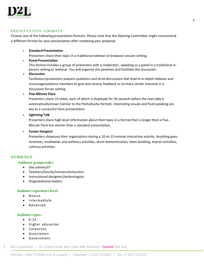

### <span id="page-4-0"></span>PRESENTATION FORMATS

Choose one of the following presentation formats. Please note that the Steering Committee might recommend a different format for your presentation after reviewing your proposal:

• **Standard Presentation**

<span id="page-4-1"></span>Presenters share their topic in a traditional webinar or breakout session setting.

• **Panel Presentation**

This format includes a group of presenters with a moderator, speaking as a panel in a traditional inperson setting or webinar. You will organize the panelists and facilitate the discussion.

### • **Discussion**

Facilitators/presenters prepare questions and drive discussions that lead to in-depth debates and encourageaudience members to give and receive feedback or to share similar interests in a discussion forum setting.

### • **Five-Minute Flare**

Presenters share 15 slides, each of which is displayed for 20 seconds before the next slide is automaticallyshown (similar to the PechaKucha format). Interesting visuals and fluid speaking are key to a successful Flare presentation.

### • **Lightning Talk**

Presenters share high-level information about their topic in a format that is longer than a Five-Minute Flare but shorter than a standard presentation.

### • **Fusion Hangout**

Presenters showcase their organization during a 10-to-15-minute interactive activity. Anything goes: stretches, meditation and wellness activities, drum demonstration, team building, improv activities, culinary activities.

### **AUDIENCE**

### **Audience groups/roles:**

- Site admins/IT
- Teachers/faculty/trainers/instructors
- Instructional designers/technologists
- Organizational leaders

### **Audience experience level:**

- Novice
- Intermediate
- Advanced

### <span id="page-4-2"></span>**Audience types:**

 $\bullet$  K-12

Canada

- Higher education
- Corporate
- Association
- Government